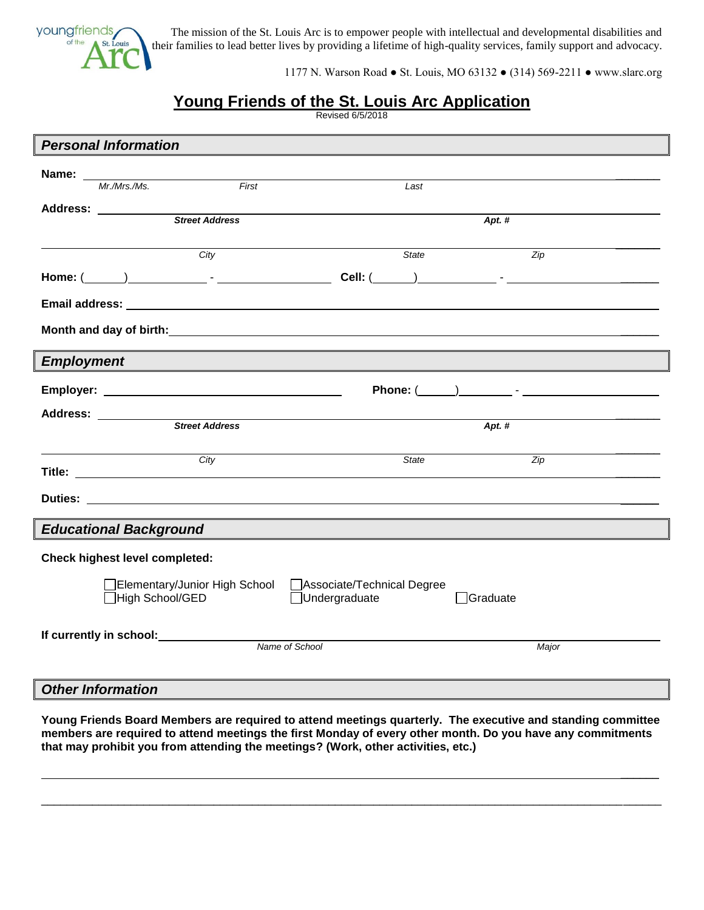

The mission of the St. Louis Arc is to empower people with intellectual and developmental disabilities and their families to lead better lives by providing a lifetime of high-quality services, family support and advocacy.

1177 N. Warson Road ● St. Louis, MO 63132 ● (314) 569-2211 ● www.slarc.org

## **Young Friends of the St. Louis Arc Application**

Revised 6/5/2018

|                                       | <b>Personal Information</b>                                       |       |                            |                 |                  |  |  |
|---------------------------------------|-------------------------------------------------------------------|-------|----------------------------|-----------------|------------------|--|--|
|                                       |                                                                   |       |                            |                 |                  |  |  |
| Name: ________                        | <u> 1989 - Johann Barnett, fransk politiker (</u><br>Mr./Mrs./Ms. | First | Last                       |                 |                  |  |  |
|                                       |                                                                   |       |                            |                 |                  |  |  |
|                                       |                                                                   |       | Apt. #                     |                 |                  |  |  |
|                                       |                                                                   |       |                            |                 |                  |  |  |
|                                       | City                                                              |       | State                      |                 | $\overline{Zip}$ |  |  |
|                                       |                                                                   |       |                            |                 |                  |  |  |
|                                       |                                                                   |       |                            |                 |                  |  |  |
|                                       |                                                                   |       |                            |                 |                  |  |  |
|                                       |                                                                   |       |                            |                 |                  |  |  |
|                                       |                                                                   |       |                            |                 |                  |  |  |
| <b>Employment</b>                     |                                                                   |       |                            |                 |                  |  |  |
|                                       |                                                                   |       |                            |                 |                  |  |  |
|                                       |                                                                   |       |                            |                 |                  |  |  |
|                                       | Address: <u>Street Address</u>                                    |       |                            | Apt. $#$        |                  |  |  |
|                                       |                                                                   |       |                            |                 |                  |  |  |
|                                       | City                                                              |       | State                      |                 | Zip              |  |  |
|                                       |                                                                   |       |                            |                 |                  |  |  |
|                                       |                                                                   |       |                            |                 |                  |  |  |
|                                       |                                                                   |       |                            |                 |                  |  |  |
| <b>Educational Background</b>         |                                                                   |       |                            |                 |                  |  |  |
| <b>Check highest level completed:</b> |                                                                   |       |                            |                 |                  |  |  |
|                                       | Elementary/Junior High School                                     |       | Associate/Technical Degree |                 |                  |  |  |
|                                       | □High School/GED                                                  |       | □Undergraduate             | $\Box$ Graduate |                  |  |  |
|                                       |                                                                   |       |                            |                 |                  |  |  |
|                                       |                                                                   |       |                            |                 |                  |  |  |
|                                       | Name of School                                                    |       |                            |                 | Major            |  |  |
|                                       |                                                                   |       |                            |                 |                  |  |  |
|                                       | $\sim$ $\sim$ $\sim$                                              |       |                            |                 |                  |  |  |

*Other Information*

**Young Friends Board Members are required to attend meetings quarterly. The executive and standing committee members are required to attend meetings the first Monday of every other month. Do you have any commitments that may prohibit you from attending the meetings? (Work, other activities, etc.)** 

\_\_\_\_\_\_\_\_\_\_\_\_\_\_\_\_\_\_\_\_\_\_\_\_\_\_\_\_\_\_\_\_\_\_\_\_\_\_\_\_\_\_\_\_\_\_\_\_\_\_\_\_\_\_\_\_\_\_\_\_\_\_\_\_\_\_\_\_\_\_\_\_\_\_\_\_\_\_\_\_\_\_\_\_\_\_\_\_\_\_\_\_\_\_\_\_\_

 $\overline{\phantom{a}}$